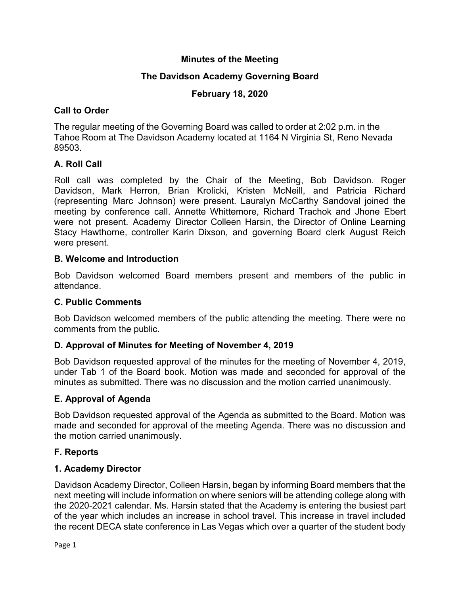## **Minutes of the Meeting**

# **The Davidson Academy Governing Board**

## **February 18, 2020**

## **Call to Order**

The regular meeting of the Governing Board was called to order at 2:02 p.m. in the Tahoe Room at The Davidson Academy located at 1164 N Virginia St, Reno Nevada 89503.

# **A. Roll Call**

Roll call was completed by the Chair of the Meeting, Bob Davidson. Roger Davidson, Mark Herron, Brian Krolicki, Kristen McNeill, and Patricia Richard (representing Marc Johnson) were present. Lauralyn McCarthy Sandoval joined the meeting by conference call. Annette Whittemore, Richard Trachok and Jhone Ebert were not present. Academy Director Colleen Harsin, the Director of Online Learning Stacy Hawthorne, controller Karin Dixson, and governing Board clerk August Reich were present.

## **B. Welcome and Introduction**

Bob Davidson welcomed Board members present and members of the public in attendance.

## **C. Public Comments**

Bob Davidson welcomed members of the public attending the meeting. There were no comments from the public.

## **D. Approval of Minutes for Meeting of November 4, 2019**

Bob Davidson requested approval of the minutes for the meeting of November 4, 2019, under Tab 1 of the Board book. Motion was made and seconded for approval of the minutes as submitted. There was no discussion and the motion carried unanimously.

## **E. Approval of Agenda**

Bob Davidson requested approval of the Agenda as submitted to the Board. Motion was made and seconded for approval of the meeting Agenda. There was no discussion and the motion carried unanimously.

## **F. Reports**

## **1. Academy Director**

Davidson Academy Director, Colleen Harsin, began by informing Board members that the next meeting will include information on where seniors will be attending college along with the 2020-2021 calendar. Ms. Harsin stated that the Academy is entering the busiest part of the year which includes an increase in school travel. This increase in travel included the recent DECA state conference in Las Vegas which over a quarter of the student body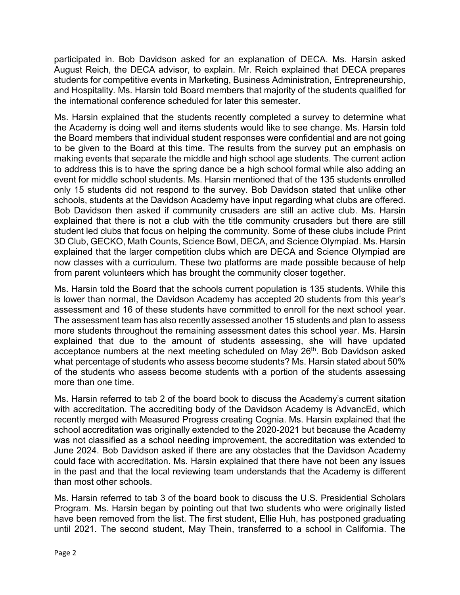participated in. Bob Davidson asked for an explanation of DECA. Ms. Harsin asked August Reich, the DECA advisor, to explain. Mr. Reich explained that DECA prepares students for competitive events in Marketing, Business Administration, Entrepreneurship, and Hospitality. Ms. Harsin told Board members that majority of the students qualified for the international conference scheduled for later this semester.

Ms. Harsin explained that the students recently completed a survey to determine what the Academy is doing well and items students would like to see change. Ms. Harsin told the Board members that individual student responses were confidential and are not going to be given to the Board at this time. The results from the survey put an emphasis on making events that separate the middle and high school age students. The current action to address this is to have the spring dance be a high school formal while also adding an event for middle school students. Ms. Harsin mentioned that of the 135 students enrolled only 15 students did not respond to the survey. Bob Davidson stated that unlike other schools, students at the Davidson Academy have input regarding what clubs are offered. Bob Davidson then asked if community crusaders are still an active club. Ms. Harsin explained that there is not a club with the title community crusaders but there are still student led clubs that focus on helping the community. Some of these clubs include Print 3D Club, GECKO, Math Counts, Science Bowl, DECA, and Science Olympiad. Ms. Harsin explained that the larger competition clubs which are DECA and Science Olympiad are now classes with a curriculum. These two platforms are made possible because of help from parent volunteers which has brought the community closer together.

Ms. Harsin told the Board that the schools current population is 135 students. While this is lower than normal, the Davidson Academy has accepted 20 students from this year's assessment and 16 of these students have committed to enroll for the next school year. The assessment team has also recently assessed another 15 students and plan to assess more students throughout the remaining assessment dates this school year. Ms. Harsin explained that due to the amount of students assessing, she will have updated acceptance numbers at the next meeting scheduled on May 26<sup>th</sup>. Bob Davidson asked what percentage of students who assess become students? Ms. Harsin stated about 50% of the students who assess become students with a portion of the students assessing more than one time.

Ms. Harsin referred to tab 2 of the board book to discuss the Academy's current sitation with accreditation. The accrediting body of the Davidson Academy is AdvancEd, which recently merged with Measured Progress creating Cognia. Ms. Harsin explained that the school accreditation was originally extended to the 2020-2021 but because the Academy was not classified as a school needing improvement, the accreditation was extended to June 2024. Bob Davidson asked if there are any obstacles that the Davidson Academy could face with accreditation. Ms. Harsin explained that there have not been any issues in the past and that the local reviewing team understands that the Academy is different than most other schools.

Ms. Harsin referred to tab 3 of the board book to discuss the U.S. Presidential Scholars Program. Ms. Harsin began by pointing out that two students who were originally listed have been removed from the list. The first student, Ellie Huh, has postponed graduating until 2021. The second student, May Thein, transferred to a school in California. The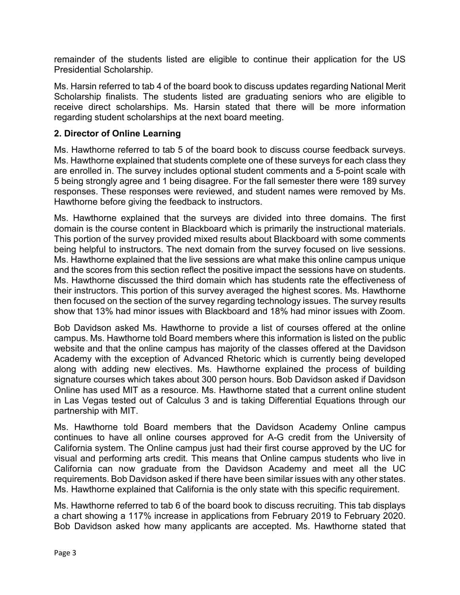remainder of the students listed are eligible to continue their application for the US Presidential Scholarship.

Ms. Harsin referred to tab 4 of the board book to discuss updates regarding National Merit Scholarship finalists. The students listed are graduating seniors who are eligible to receive direct scholarships. Ms. Harsin stated that there will be more information regarding student scholarships at the next board meeting.

#### **2. Director of Online Learning**

Ms. Hawthorne referred to tab 5 of the board book to discuss course feedback surveys. Ms. Hawthorne explained that students complete one of these surveys for each class they are enrolled in. The survey includes optional student comments and a 5-point scale with 5 being strongly agree and 1 being disagree. For the fall semester there were 189 survey responses. These responses were reviewed, and student names were removed by Ms. Hawthorne before giving the feedback to instructors.

Ms. Hawthorne explained that the surveys are divided into three domains. The first domain is the course content in Blackboard which is primarily the instructional materials. This portion of the survey provided mixed results about Blackboard with some comments being helpful to instructors. The next domain from the survey focused on live sessions. Ms. Hawthorne explained that the live sessions are what make this online campus unique and the scores from this section reflect the positive impact the sessions have on students. Ms. Hawthorne discussed the third domain which has students rate the effectiveness of their instructors. This portion of this survey averaged the highest scores. Ms. Hawthorne then focused on the section of the survey regarding technology issues. The survey results show that 13% had minor issues with Blackboard and 18% had minor issues with Zoom.

Bob Davidson asked Ms. Hawthorne to provide a list of courses offered at the online campus. Ms. Hawthorne told Board members where this information is listed on the public website and that the online campus has majority of the classes offered at the Davidson Academy with the exception of Advanced Rhetoric which is currently being developed along with adding new electives. Ms. Hawthorne explained the process of building signature courses which takes about 300 person hours. Bob Davidson asked if Davidson Online has used MIT as a resource. Ms. Hawthorne stated that a current online student in Las Vegas tested out of Calculus 3 and is taking Differential Equations through our partnership with MIT.

Ms. Hawthorne told Board members that the Davidson Academy Online campus continues to have all online courses approved for A-G credit from the University of California system. The Online campus just had their first course approved by the UC for visual and performing arts credit. This means that Online campus students who live in California can now graduate from the Davidson Academy and meet all the UC requirements. Bob Davidson asked if there have been similar issues with any other states. Ms. Hawthorne explained that California is the only state with this specific requirement.

Ms. Hawthorne referred to tab 6 of the board book to discuss recruiting. This tab displays a chart showing a 117% increase in applications from February 2019 to February 2020. Bob Davidson asked how many applicants are accepted. Ms. Hawthorne stated that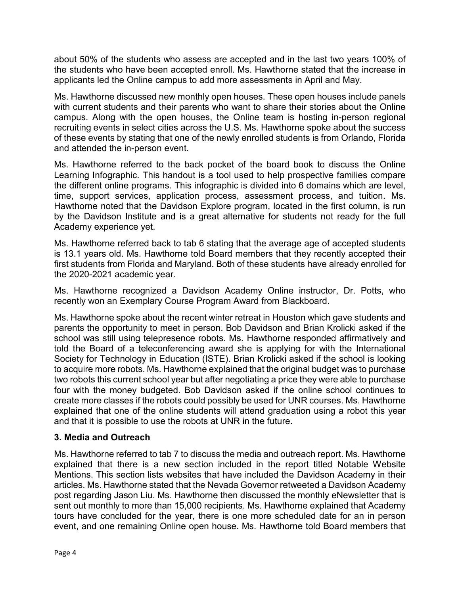about 50% of the students who assess are accepted and in the last two years 100% of the students who have been accepted enroll. Ms. Hawthorne stated that the increase in applicants led the Online campus to add more assessments in April and May.

Ms. Hawthorne discussed new monthly open houses. These open houses include panels with current students and their parents who want to share their stories about the Online campus. Along with the open houses, the Online team is hosting in-person regional recruiting events in select cities across the U.S. Ms. Hawthorne spoke about the success of these events by stating that one of the newly enrolled students is from Orlando, Florida and attended the in-person event.

Ms. Hawthorne referred to the back pocket of the board book to discuss the Online Learning Infographic. This handout is a tool used to help prospective families compare the different online programs. This infographic is divided into 6 domains which are level, time, support services, application process, assessment process, and tuition. Ms. Hawthorne noted that the Davidson Explore program, located in the first column, is run by the Davidson Institute and is a great alternative for students not ready for the full Academy experience yet.

Ms. Hawthorne referred back to tab 6 stating that the average age of accepted students is 13.1 years old. Ms. Hawthorne told Board members that they recently accepted their first students from Florida and Maryland. Both of these students have already enrolled for the 2020-2021 academic year.

Ms. Hawthorne recognized a Davidson Academy Online instructor, Dr. Potts, who recently won an Exemplary Course Program Award from Blackboard.

Ms. Hawthorne spoke about the recent winter retreat in Houston which gave students and parents the opportunity to meet in person. Bob Davidson and Brian Krolicki asked if the school was still using telepresence robots. Ms. Hawthorne responded affirmatively and told the Board of a teleconferencing award she is applying for with the International Society for Technology in Education (ISTE). Brian Krolicki asked if the school is looking to acquire more robots. Ms. Hawthorne explained that the original budget was to purchase two robots this current school year but after negotiating a price they were able to purchase four with the money budgeted. Bob Davidson asked if the online school continues to create more classes if the robots could possibly be used for UNR courses. Ms. Hawthorne explained that one of the online students will attend graduation using a robot this year and that it is possible to use the robots at UNR in the future.

#### **3. Media and Outreach**

Ms. Hawthorne referred to tab 7 to discuss the media and outreach report. Ms. Hawthorne explained that there is a new section included in the report titled Notable Website Mentions. This section lists websites that have included the Davidson Academy in their articles. Ms. Hawthorne stated that the Nevada Governor retweeted a Davidson Academy post regarding Jason Liu. Ms. Hawthorne then discussed the monthly eNewsletter that is sent out monthly to more than 15,000 recipients. Ms. Hawthorne explained that Academy tours have concluded for the year, there is one more scheduled date for an in person event, and one remaining Online open house. Ms. Hawthorne told Board members that